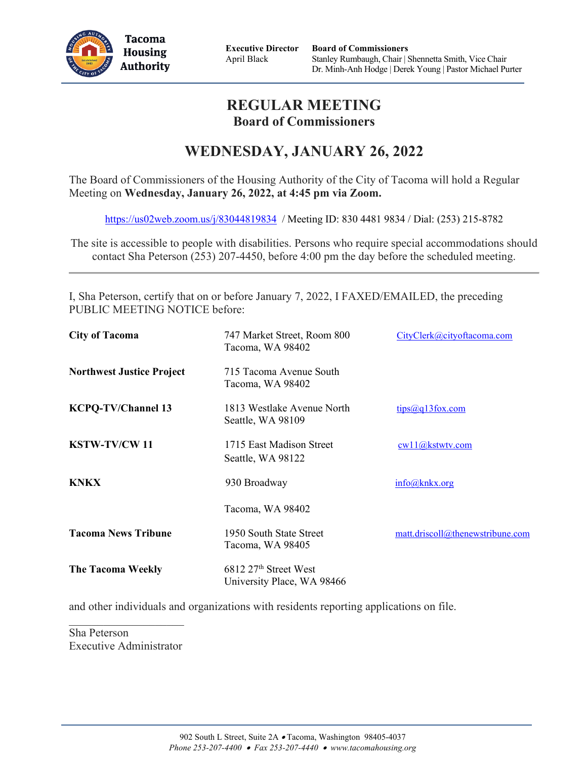

**Executive Director** April Black

## **REGULAR MEETING Board of Commissioners**

# **WEDNESDAY, JANUARY 26, 2022**

The Board of Commissioners of the Housing Authority of the City of Tacoma will hold a Regular Meeting on **Wednesday, January 26, 2022, at 4:45 pm via Zoom.**

<https://us02web.zoom.us/j/83044819834> / Meeting ID: 830 4481 9834 / Dial: (253) 215-8782

The site is accessible to people with disabilities. Persons who require special accommodations should contact Sha Peterson (253) 207-4450, before 4:00 pm the day before the scheduled meeting.

I, Sha Peterson, certify that on or before January 7, 2022, I FAXED/EMAILED, the preceding PUBLIC MEETING NOTICE before:

| <b>City of Tacoma</b>            | 747 Market Street, Room 800<br>Tacoma, WA 98402                 | CityClerk@cityoftacoma.com       |
|----------------------------------|-----------------------------------------------------------------|----------------------------------|
| <b>Northwest Justice Project</b> | 715 Tacoma Avenue South<br>Tacoma, WA 98402                     |                                  |
| <b>KCPQ-TV/Channel 13</b>        | 1813 Westlake Avenue North<br>Seattle, WA 98109                 | tips@q13fox.com                  |
| <b>KSTW-TV/CW11</b>              | 1715 East Madison Street<br>Seattle, WA 98122                   | cwl1@kstwtv.com                  |
| <b>KNKX</b>                      | 930 Broadway                                                    | info@knkx.org                    |
|                                  | Tacoma, WA 98402                                                |                                  |
| <b>Tacoma News Tribune</b>       | 1950 South State Street<br>Tacoma, WA 98405                     | matt.driscoll@thenewstribune.com |
| <b>The Tacoma Weekly</b>         | 6812 27 <sup>th</sup> Street West<br>University Place, WA 98466 |                                  |

and other individuals and organizations with residents reporting applications on file.

Sha Peterson Executive Administrator

 $\mathcal{L}_\text{max}$  , we have the set of the set of the set of the set of the set of the set of the set of the set of the set of the set of the set of the set of the set of the set of the set of the set of the set of the set of